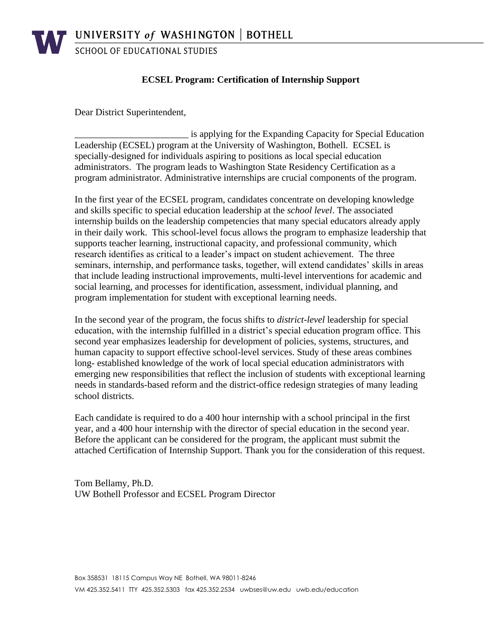**SCHOOL OF EDUCATIONAL STUDIES** 

## **ECSEL Program: Certification of Internship Support**

Dear District Superintendent,

\_\_\_\_\_\_\_\_\_\_\_\_\_\_\_\_\_\_\_\_\_\_\_\_ is applying for the Expanding Capacity for Special Education Leadership (ECSEL) program at the University of Washington, Bothell. ECSEL is specially-designed for individuals aspiring to positions as local special education administrators. The program leads to Washington State Residency Certification as a program administrator. Administrative internships are crucial components of the program.

In the first year of the ECSEL program, candidates concentrate on developing knowledge and skills specific to special education leadership at the *school level*. The associated internship builds on the leadership competencies that many special educators already apply in their daily work. This school-level focus allows the program to emphasize leadership that supports teacher learning, instructional capacity, and professional community, which research identifies as critical to a leader's impact on student achievement. The three seminars, internship, and performance tasks, together, will extend candidates' skills in areas that include leading instructional improvements, multi-level interventions for academic and social learning, and processes for identification, assessment, individual planning, and program implementation for student with exceptional learning needs.

In the second year of the program, the focus shifts to *district-level* leadership for special education, with the internship fulfilled in a district's special education program office. This second year emphasizes leadership for development of policies, systems, structures, and human capacity to support effective school-level services. Study of these areas combines long- established knowledge of the work of local special education administrators with emerging new responsibilities that reflect the inclusion of students with exceptional learning needs in standards-based reform and the district-office redesign strategies of many leading school districts.

Each candidate is required to do a 400 hour internship with a school principal in the first year, and a 400 hour internship with the director of special education in the second year. Before the applicant can be considered for the program, the applicant must submit the attached Certification of Internship Support. Thank you for the consideration of this request.

Tom Bellamy, Ph.D. UW Bothell Professor and ECSEL Program Director